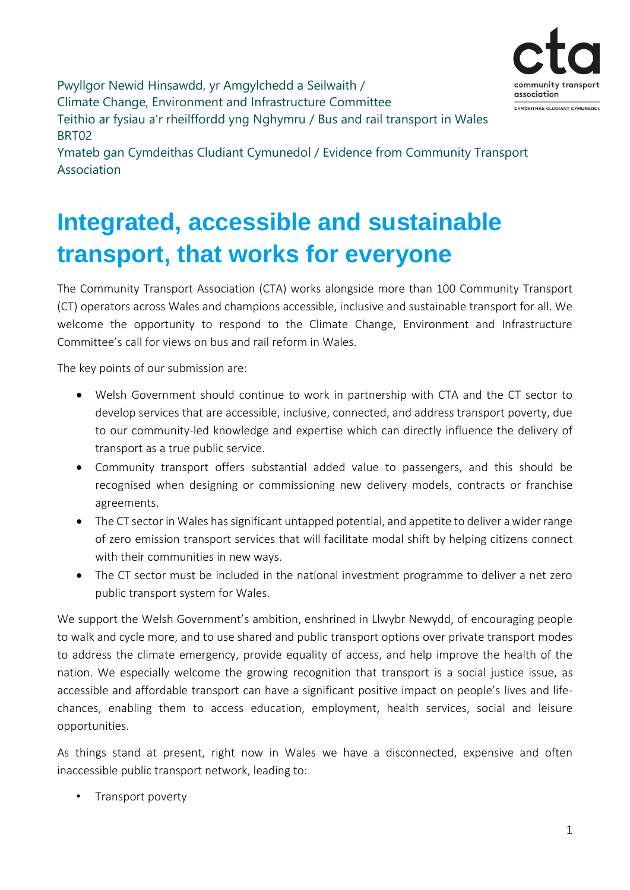Pwyllgor Newid Hinsawdd, yr Amgylchedd a Seilwaith / community trans association Climate Change, Environment and Infrastructure Committee CYMDEITHAS CLUDIANT CYMUNEDOL Teithio ar fysiau a'r rheilffordd yng Nghymru / Bus and rail transport in Wales BRT02 Ymateb gan Cymdeithas Cludiant Cymunedol / Evidence from Community Transport Association

# **Integrated, accessible and sustainable transport, that works for everyone**

The Community Transport Association (CTA) works alongside more than 100 Community Transport (CT) operators across Wales and champions accessible, inclusive and sustainable transport for all. We welcome the opportunity to respond to the Climate Change, Environment and Infrastructure Committee's call for views on bus and rail reform in Wales.

The key points of our submission are:

- Welsh Government should continue to work in partnership with CTA and the CT sector to develop services that are accessible, inclusive, connected, and address transport poverty, due to our community-led knowledge and expertise which can directly influence the delivery of transport as a true public service.
- Community transport offers substantial added value to passengers, and this should be recognised when designing or commissioning new delivery models, contracts or franchise agreements.
- The CT sector in Wales has significant untapped potential, and appetite to deliver a wider range of zero emission transport services that will facilitate modal shift by helping citizens connect with their communities in new ways.
- The CT sector must be included in the national investment programme to deliver a net zero public transport system for Wales.

We support the Welsh Government's ambition, enshrined in Llwybr Newydd, of encouraging people to walk and cycle more, and to use shared and public transport options over private transport modes to address the climate emergency, provide equality of access, and help improve the health of the nation. We especially welcome the growing recognition that transport is a social justice issue, as accessible and affordable transport can have a significant positive impact on people's lives and lifechances, enabling them to access education, employment, health services, social and leisure opportunities.

As things stand at present, right now in Wales we have a disconnected, expensive and often inaccessible public transport network, leading to:

• Transport poverty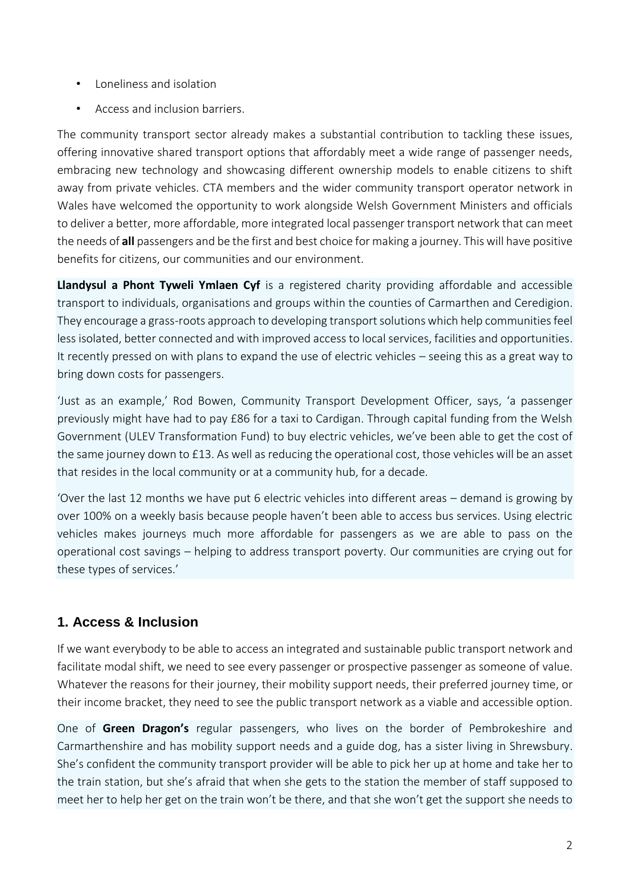- Loneliness and isolation
- Access and inclusion barriers.

The community transport sector already makes a substantial contribution to tackling these issues, offering innovative shared transport options that affordably meet a wide range of passenger needs, embracing new technology and showcasing different ownership models to enable citizens to shift away from private vehicles. CTA members and the wider community transport operator network in Wales have welcomed the opportunity to work alongside Welsh Government Ministers and officials to deliver a better, more affordable, more integrated local passenger transport network that can meet the needs of **all** passengers and be the first and best choice for making a journey. This will have positive benefits for citizens, our communities and our environment.

**Llandysul a Phont Tyweli Ymlaen Cyf** is a registered charity providing affordable and accessible transport to individuals, organisations and groups within the counties of Carmarthen and Ceredigion. They encourage a grass-roots approach to developing transport solutions which help communities feel less isolated, better connected and with improved access to local services, facilities and opportunities. It recently pressed on with plans to expand the use of electric vehicles – seeing this as a great way to bring down costs for passengers.

'Just as an example,' Rod Bowen, Community Transport Development Officer, says, 'a passenger previously might have had to pay £86 for a taxi to Cardigan. Through capital funding from the Welsh Government (ULEV Transformation Fund) to buy electric vehicles, we've been able to get the cost of the same journey down to £13. As well as reducing the operational cost, those vehicles will be an asset that resides in the local community or at a community hub, for a decade.

'Over the last 12 months we have put 6 electric vehicles into different areas – demand is growing by over 100% on a weekly basis because people haven't been able to access bus services. Using electric vehicles makes journeys much more affordable for passengers as we are able to pass on the operational cost savings – helping to address transport poverty. Our communities are crying out for these types of services.'

## **1. Access & Inclusion**

If we want everybody to be able to access an integrated and sustainable public transport network and facilitate modal shift, we need to see every passenger or prospective passenger as someone of value. Whatever the reasons for their journey, their mobility support needs, their preferred journey time, or their income bracket, they need to see the public transport network as a viable and accessible option.

One of **Green Dragon's** regular passengers, who lives on the border of Pembrokeshire and Carmarthenshire and has mobility support needs and a guide dog, has a sister living in Shrewsbury. She's confident the community transport provider will be able to pick her up at home and take her to the train station, but she's afraid that when she gets to the station the member of staff supposed to meet her to help her get on the train won't be there, and that she won't get the support she needs to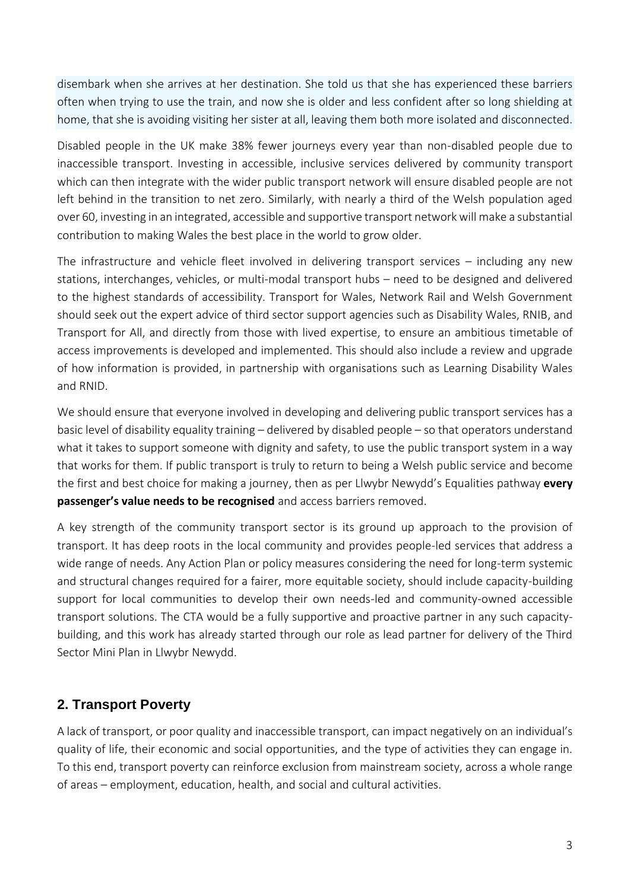disembark when she arrives at her destination. She told us that she has experienced these barriers often when trying to use the train, and now she is older and less confident after so long shielding at home, that she is avoiding visiting her sister at all, leaving them both more isolated and disconnected.

Disabled people in the UK make 38% fewer journeys every year than non-disabled people due to inaccessible transport. Investing in accessible, inclusive services delivered by community transport which can then integrate with the wider public transport network will ensure disabled people are not left behind in the transition to net zero. Similarly, with nearly a third of the Welsh population aged over 60, investing in an integrated, accessible and supportive transport network will make a substantial contribution to making Wales the best place in the world to grow older.

The infrastructure and vehicle fleet involved in delivering transport services – including any new stations, interchanges, vehicles, or multi-modal transport hubs – need to be designed and delivered to the highest standards of accessibility. Transport for Wales, Network Rail and Welsh Government should seek out the expert advice of third sector support agencies such as Disability Wales, RNIB, and Transport for All, and directly from those with lived expertise, to ensure an ambitious timetable of access improvements is developed and implemented. This should also include a review and upgrade of how information is provided, in partnership with organisations such as Learning Disability Wales and RNID.

We should ensure that everyone involved in developing and delivering public transport services has a basic level of disability equality training – delivered by disabled people – so that operators understand what it takes to support someone with dignity and safety, to use the public transport system in a way that works for them. If public transport is truly to return to being a Welsh public service and become the first and best choice for making a journey, then as per Llwybr Newydd's Equalities pathway **every passenger's value needs to be recognised** and access barriers removed.

A key strength of the community transport sector is its ground up approach to the provision of transport. It has deep roots in the local community and provides people-led services that address a wide range of needs. Any Action Plan or policy measures considering the need for long-term systemic and structural changes required for a fairer, more equitable society, should include capacity-building support for local communities to develop their own needs-led and community-owned accessible transport solutions. The CTA would be a fully supportive and proactive partner in any such capacitybuilding, and this work has already started through our role as lead partner for delivery of the Third Sector Mini Plan in Llwybr Newydd.

## **2. Transport Poverty**

A lack of transport, or poor quality and inaccessible transport, can impact negatively on an individual's quality of life, their economic and social opportunities, and the type of activities they can engage in. To this end, transport poverty can reinforce exclusion from mainstream society, across a whole range of areas – employment, education, health, and social and cultural activities.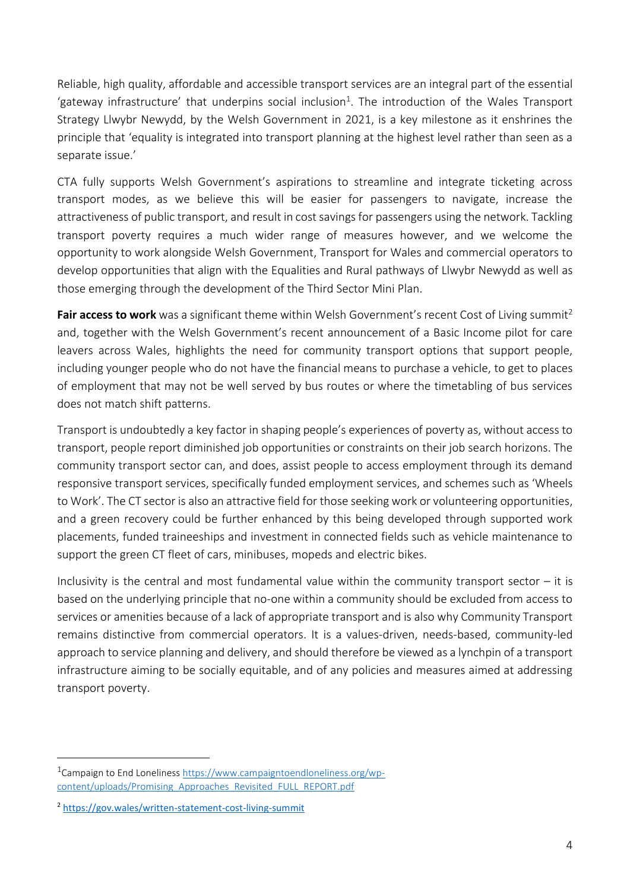Reliable, high quality, affordable and accessible transport services are an integral part of the essential 'gateway infrastructure' that underpins social inclusion<sup>1</sup>. The introduction of the Wales Transport Strategy Llwybr Newydd, by the Welsh Government in 2021, is a key milestone as it enshrines the principle that 'equality is integrated into transport planning at the highest level rather than seen as a separate issue.'

CTA fully supports Welsh Government's aspirations to streamline and integrate ticketing across transport modes, as we believe this will be easier for passengers to navigate, increase the attractiveness of public transport, and result in cost savings for passengers using the network. Tackling transport poverty requires a much wider range of measures however, and we welcome the opportunity to work alongside Welsh Government, Transport for Wales and commercial operators to develop opportunities that align with the Equalities and Rural pathways of Llwybr Newydd as well as those emerging through the development of the Third Sector Mini Plan.

**Fair access to work** was a significant theme within Welsh Government's recent Cost of Living summit<sup>2</sup> and, together with the Welsh Government's recent announcement of a Basic Income pilot for care leavers across Wales, highlights the need for community transport options that support people, including younger people who do not have the financial means to purchase a vehicle, to get to places of employment that may not be well served by bus routes or where the timetabling of bus services does not match shift patterns.

Transport is undoubtedly a key factor in shaping people's experiences of poverty as, without access to transport, people report diminished job opportunities or constraints on their job search horizons. The community transport sector can, and does, assist people to access employment through its demand responsive transport services, specifically funded employment services, and schemes such as 'Wheels to Work'. The CT sector is also an attractive field for those seeking work or volunteering opportunities, and a green recovery could be further enhanced by this being developed through supported work placements, funded traineeships and investment in connected fields such as vehicle maintenance to support the green CT fleet of cars, minibuses, mopeds and electric bikes.

Inclusivity is the central and most fundamental value within the community transport sector  $-$  it is based on the underlying principle that no-one within a community should be excluded from access to services or amenities because of a lack of appropriate transport and is also why Community Transport remains distinctive from commercial operators. It is a values-driven, needs-based, community-led approach to service planning and delivery, and should therefore be viewed as a lynchpin of a transport infrastructure aiming to be socially equitable, and of any policies and measures aimed at addressing transport poverty.

-

<sup>&</sup>lt;sup>1</sup>Campaign to End Loneliness [https://www.campaigntoendloneliness.org/wp](https://www.campaigntoendloneliness.org/wp-content/uploads/Promising_Approaches_Revisited_FULL_REPORT.pdf)[content/uploads/Promising\\_Approaches\\_Revisited\\_FULL\\_REPORT.pdf](https://www.campaigntoendloneliness.org/wp-content/uploads/Promising_Approaches_Revisited_FULL_REPORT.pdf)

<sup>2</sup> <https://gov.wales/written-statement-cost-living-summit>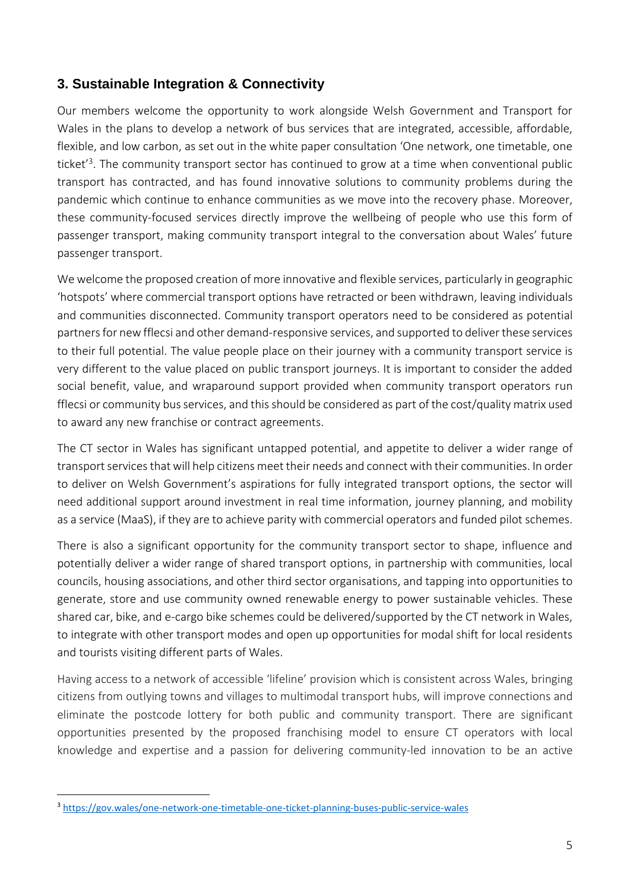### **3. Sustainable Integration & Connectivity**

Our members welcome the opportunity to work alongside Welsh Government and Transport for Wales in the plans to develop a network of bus services that are integrated, accessible, affordable, flexible, and low carbon, as set out in the white paper consultation 'One network, one timetable, one ticket<sup>'3</sup>. The community transport sector has continued to grow at a time when conventional public transport has contracted, and has found innovative solutions to community problems during the pandemic which continue to enhance communities as we move into the recovery phase. Moreover, these community-focused services directly improve the wellbeing of people who use this form of passenger transport, making community transport integral to the conversation about Wales' future passenger transport.

We welcome the proposed creation of more innovative and flexible services, particularly in geographic 'hotspots' where commercial transport options have retracted or been withdrawn, leaving individuals and communities disconnected. Community transport operators need to be considered as potential partners for new fflecsi and other demand-responsive services, and supported to deliver these services to their full potential. The value people place on their journey with a community transport service is very different to the value placed on public transport journeys. It is important to consider the added social benefit, value, and wraparound support provided when community transport operators run fflecsi or community bus services, and this should be considered as part of the cost/quality matrix used to award any new franchise or contract agreements.

The CT sector in Wales has significant untapped potential, and appetite to deliver a wider range of transport services that will help citizens meet their needs and connect with their communities. In order to deliver on Welsh Government's aspirations for fully integrated transport options, the sector will need additional support around investment in real time information, journey planning, and mobility as a service (MaaS), if they are to achieve parity with commercial operators and funded pilot schemes.

There is also a significant opportunity for the community transport sector to shape, influence and potentially deliver a wider range of shared transport options, in partnership with communities, local councils, housing associations, and other third sector organisations, and tapping into opportunities to generate, store and use community owned renewable energy to power sustainable vehicles. These shared car, bike, and e-cargo bike schemes could be delivered/supported by the CT network in Wales, to integrate with other transport modes and open up opportunities for modal shift for local residents and tourists visiting different parts of Wales.

Having access to a network of accessible 'lifeline' provision which is consistent across Wales, bringing citizens from outlying towns and villages to multimodal transport hubs, will improve connections and eliminate the postcode lottery for both public and community transport. There are significant opportunities presented by the proposed franchising model to ensure CT operators with local knowledge and expertise and a passion for delivering community-led innovation to be an active

1

<sup>3</sup> <https://gov.wales/one-network-one-timetable-one-ticket-planning-buses-public-service-wales>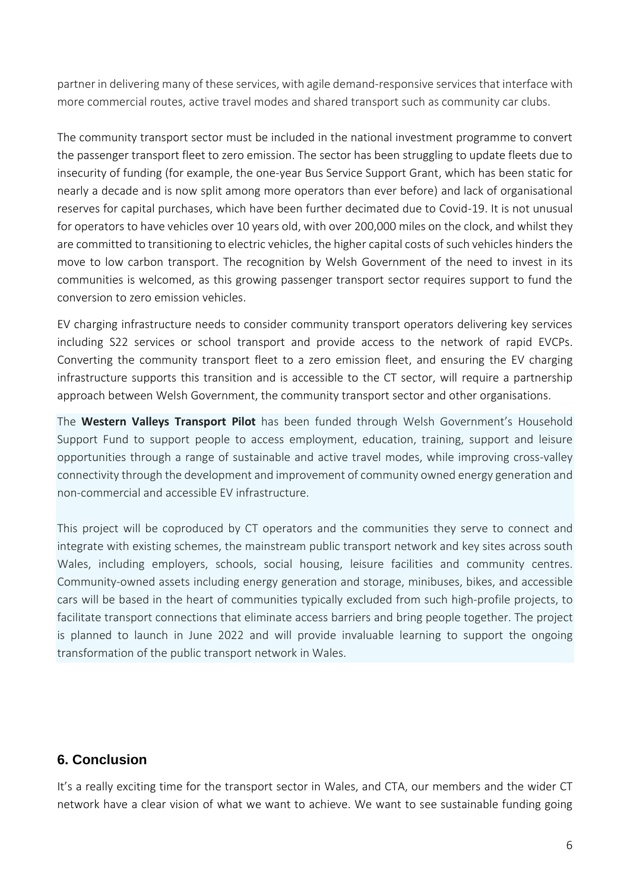partner in delivering many of these services, with agile demand-responsive services that interface with more commercial routes, active travel modes and shared transport such as community car clubs.

The community transport sector must be included in the national investment programme to convert the passenger transport fleet to zero emission. The sector has been struggling to update fleets due to insecurity of funding (for example, the one-year Bus Service Support Grant, which has been static for nearly a decade and is now split among more operators than ever before) and lack of organisational reserves for capital purchases, which have been further decimated due to Covid-19. It is not unusual for operators to have vehicles over 10 years old, with over 200,000 miles on the clock, and whilst they are committed to transitioning to electric vehicles, the higher capital costs of such vehicles hinders the move to low carbon transport. The recognition by Welsh Government of the need to invest in its communities is welcomed, as this growing passenger transport sector requires support to fund the conversion to zero emission vehicles.

EV charging infrastructure needs to consider community transport operators delivering key services including S22 services or school transport and provide access to the network of rapid EVCPs. Converting the community transport fleet to a zero emission fleet, and ensuring the EV charging infrastructure supports this transition and is accessible to the CT sector, will require a partnership approach between Welsh Government, the community transport sector and other organisations.

The **Western Valleys Transport Pilot** has been funded through Welsh Government's Household Support Fund to support people to access employment, education, training, support and leisure opportunities through a range of sustainable and active travel modes, while improving cross-valley connectivity through the development and improvement of community owned energy generation and non-commercial and accessible EV infrastructure.

This project will be coproduced by CT operators and the communities they serve to connect and integrate with existing schemes, the mainstream public transport network and key sites across south Wales, including employers, schools, social housing, leisure facilities and community centres. Community-owned assets including energy generation and storage, minibuses, bikes, and accessible cars will be based in the heart of communities typically excluded from such high-profile projects, to facilitate transport connections that eliminate access barriers and bring people together. The project is planned to launch in June 2022 and will provide invaluable learning to support the ongoing transformation of the public transport network in Wales.

### **6. Conclusion**

It's a really exciting time for the transport sector in Wales, and CTA, our members and the wider CT network have a clear vision of what we want to achieve. We want to see sustainable funding going